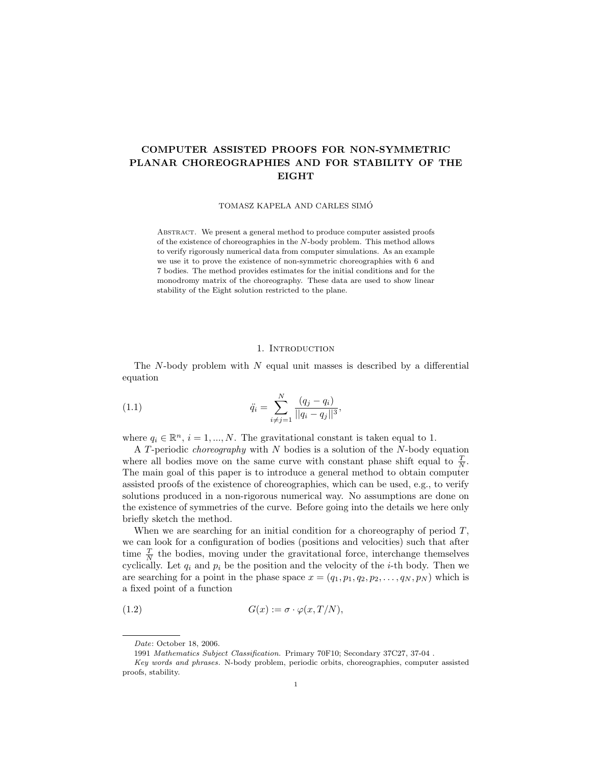# COMPUTER ASSISTED PROOFS FOR NON-SYMMETRIC PLANAR CHOREOGRAPHIES AND FOR STABILITY OF THE EIGHT

TOMASZ KAPELA AND CARLES SIMO´

ABSTRACT. We present a general method to produce computer assisted proofs of the existence of choreographies in the N-body problem. This method allows to verify rigorously numerical data from computer simulations. As an example we use it to prove the existence of non-symmetric choreographies with 6 and 7 bodies. The method provides estimates for the initial conditions and for the monodromy matrix of the choreography. These data are used to show linear stability of the Eight solution restricted to the plane.

### 1. INTRODUCTION

The  $N$ -body problem with  $N$  equal unit masses is described by a differential equation

(1.1) 
$$
\ddot{q}_i = \sum_{i \neq j=1}^N \frac{(q_j - q_i)}{||q_i - q_j||^3},
$$

where  $q_i \in \mathbb{R}^n$ ,  $i = 1, ..., N$ . The gravitational constant is taken equal to 1.

A T-periodic *choreography* with  $N$  bodies is a solution of the  $N$ -body equation where all bodies move on the same curve with constant phase shift equal to  $\frac{T}{N}$ . The main goal of this paper is to introduce a general method to obtain computer assisted proofs of the existence of choreographies, which can be used, e.g., to verify solutions produced in a non-rigorous numerical way. No assumptions are done on the existence of symmetries of the curve. Before going into the details we here only briefly sketch the method.

When we are searching for an initial condition for a choreography of period  $T$ , we can look for a configuration of bodies (positions and velocities) such that after time  $\frac{T}{N}$  the bodies, moving under the gravitational force, interchange themselves cyclically. Let  $q_i$  and  $p_i$  be the position and the velocity of the *i*-th body. Then we are searching for a point in the phase space  $x = (q_1, p_1, q_2, p_2, \ldots, q_N, p_N)$  which is a fixed point of a function

$$
(1.2) \tG(x) := \sigma \cdot \varphi(x, T/N),
$$

Date: October 18, 2006.

<sup>1991</sup> Mathematics Subject Classification. Primary 70F10; Secondary 37C27, 37-04 .

Key words and phrases. N-body problem, periodic orbits, choreographies, computer assisted proofs, stability.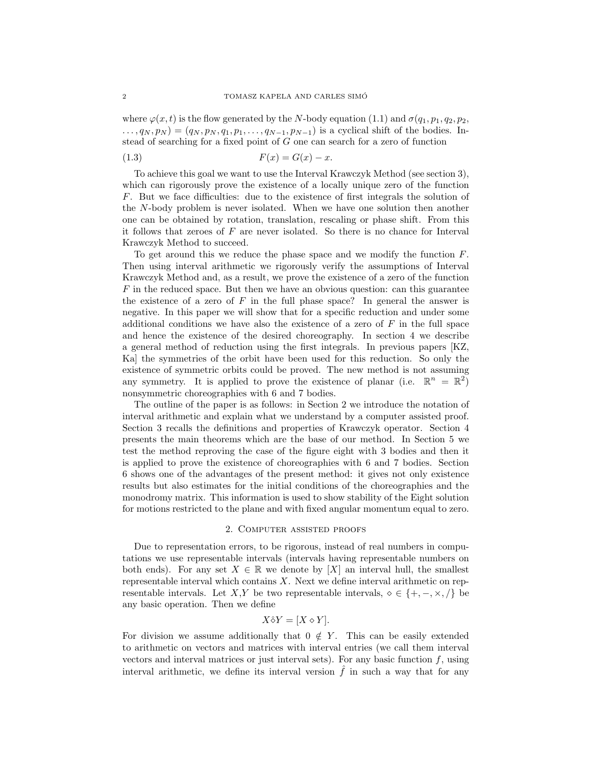where  $\varphi(x, t)$  is the flow generated by the N-body equation (1.1) and  $\sigma(q_1, p_1, q_2, p_2,$  $( ..., q_N, p_N) = (q_N, p_N, q_1, p_1, ..., q_{N-1}, p_{N-1})$  is a cyclical shift of the bodies. Instead of searching for a fixed point of G one can search for a zero of function

$$
(1.3) \t\t\t F(x) = G(x) - x.
$$

To achieve this goal we want to use the Interval Krawczyk Method (see section 3), which can rigorously prove the existence of a locally unique zero of the function F. But we face difficulties: due to the existence of first integrals the solution of the N-body problem is never isolated. When we have one solution then another one can be obtained by rotation, translation, rescaling or phase shift. From this it follows that zeroes of  $F$  are never isolated. So there is no chance for Interval Krawczyk Method to succeed.

To get around this we reduce the phase space and we modify the function F. Then using interval arithmetic we rigorously verify the assumptions of Interval Krawczyk Method and, as a result, we prove the existence of a zero of the function  $F$  in the reduced space. But then we have an obvious question: can this guarantee the existence of a zero of  $F$  in the full phase space? In general the answer is negative. In this paper we will show that for a specific reduction and under some additional conditions we have also the existence of a zero of  $F$  in the full space and hence the existence of the desired choreography. In section 4 we describe a general method of reduction using the first integrals. In previous papers [KZ, Ka] the symmetries of the orbit have been used for this reduction. So only the existence of symmetric orbits could be proved. The new method is not assuming any symmetry. It is applied to prove the existence of planar (i.e.  $\mathbb{R}^n = \mathbb{R}^2$ ) nonsymmetric choreographies with 6 and 7 bodies.

The outline of the paper is as follows: in Section 2 we introduce the notation of interval arithmetic and explain what we understand by a computer assisted proof. Section 3 recalls the definitions and properties of Krawczyk operator. Section 4 presents the main theorems which are the base of our method. In Section 5 we test the method reproving the case of the figure eight with 3 bodies and then it is applied to prove the existence of choreographies with 6 and 7 bodies. Section 6 shows one of the advantages of the present method: it gives not only existence results but also estimates for the initial conditions of the choreographies and the monodromy matrix. This information is used to show stability of the Eight solution for motions restricted to the plane and with fixed angular momentum equal to zero.

#### 2. Computer assisted proofs

Due to representation errors, to be rigorous, instead of real numbers in computations we use representable intervals (intervals having representable numbers on both ends). For any set  $X \in \mathbb{R}$  we denote by [X] an interval hull, the smallest representable interval which contains  $X$ . Next we define interval arithmetic on representable intervals. Let X,Y be two representable intervals,  $\diamond \in \{+, -, \times, /\}$  be any basic operation. Then we define

$$
X \hat{\diamond} Y = [X \diamond Y].
$$

For division we assume additionally that  $0 \notin Y$ . This can be easily extended to arithmetic on vectors and matrices with interval entries (we call them interval vectors and interval matrices or just interval sets). For any basic function  $f$ , using interval arithmetic, we define its interval version  $\hat{f}$  in such a way that for any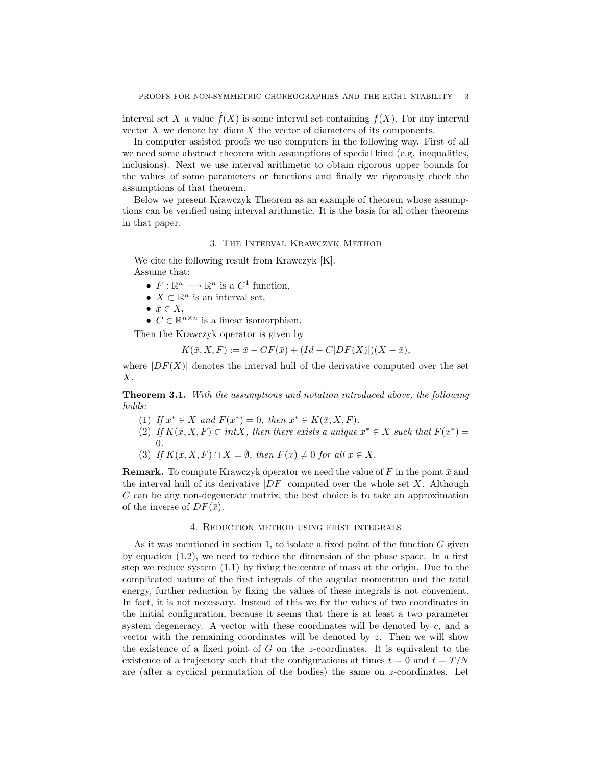interval set X a value  $f(X)$  is some interval set containing  $f(X)$ . For any interval vector  $X$  we denote by  $\dim X$  the vector of diameters of its components.

In computer assisted proofs we use computers in the following way. First of all we need some abstract theorem with assumptions of special kind (e.g. inequalities, inclusions). Next we use interval arithmetic to obtain rigorous upper bounds for the values of some parameters or functions and finally we rigorously check the assumptions of that theorem.

Below we present Krawczyk Theorem as an example of theorem whose assumptions can be verified using interval arithmetic. It is the basis for all other theorems in that paper.

# 3. The Interval Krawczyk Method

We cite the following result from Krawczyk [K]. Assume that:

- $F: \mathbb{R}^n \longrightarrow \mathbb{R}^n$  is a  $C^1$  function,
- $X \subset \mathbb{R}^n$  is an interval set,
- $\bar{x} \in X$ ,
- $C \in \mathbb{R}^{n \times n}$  is a linear isomorphism.

Then the Krawczyk operator is given by

$$
K(\bar{x}, X, F) := \bar{x} - CF(\bar{x}) + (Id - C[DF(X)])(X - \bar{x}),
$$

where  $[DF(X)]$  denotes the interval hull of the derivative computed over the set X.

Theorem 3.1. With the assumptions and notation introduced above, the following holds:

- (1) If  $x^* \in X$  and  $F(x^*) = 0$ , then  $x^* \in K(\bar{x}, X, F)$ .
- (2) If  $K(\bar{x}, X, F) \subset intX$ , then there exists a unique  $x^* \in X$  such that  $F(x^*) =$ 0.
- (3) If  $K(\bar{x}, X, F) \cap X = \emptyset$ , then  $F(x) \neq 0$  for all  $x \in X$ .

**Remark.** To compute Krawczyk operator we need the value of F in the point  $\bar{x}$  and the interval hull of its derivative  $[DF]$  computed over the whole set X. Although C can be any non-degenerate matrix, the best choice is to take an approximation of the inverse of  $DF(\bar{x})$ .

# 4. Reduction method using first integrals

As it was mentioned in section 1, to isolate a fixed point of the function  $G$  given by equation (1.2), we need to reduce the dimension of the phase space. In a first step we reduce system (1.1) by fixing the centre of mass at the origin. Due to the complicated nature of the first integrals of the angular momentum and the total energy, further reduction by fixing the values of these integrals is not convenient. In fact, it is not necessary. Instead of this we fix the values of two coordinates in the initial configuration, because it seems that there is at least a two parameter system degeneracy. A vector with these coordinates will be denoted by  $c$ , and a vector with the remaining coordinates will be denoted by  $z$ . Then we will show the existence of a fixed point of  $G$  on the z-coordinates. It is equivalent to the existence of a trajectory such that the configurations at times  $t = 0$  and  $t = T/N$ are (after a cyclical permutation of the bodies) the same on  $z$ -coordinates. Let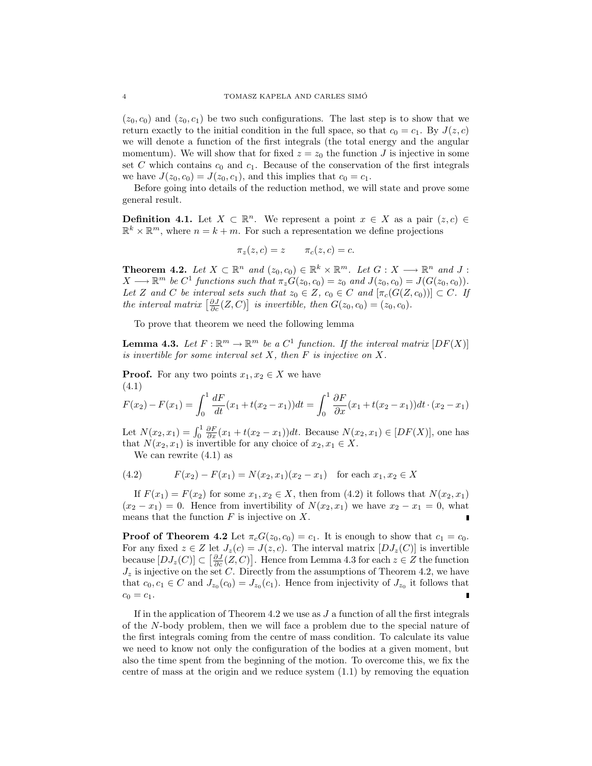$(z_0, c_0)$  and  $(z_0, c_1)$  be two such configurations. The last step is to show that we return exactly to the initial condition in the full space, so that  $c_0 = c_1$ . By  $J(z, c)$ we will denote a function of the first integrals (the total energy and the angular momentum). We will show that for fixed  $z = z_0$  the function J is injective in some set  $C$  which contains  $c_0$  and  $c_1$ . Because of the conservation of the first integrals we have  $J(z_0, c_0) = J(z_0, c_1)$ , and this implies that  $c_0 = c_1$ .

Before going into details of the reduction method, we will state and prove some general result.

**Definition 4.1.** Let  $X \subset \mathbb{R}^n$ . We represent a point  $x \in X$  as a pair  $(z, c) \in$  $\mathbb{R}^k \times \mathbb{R}^m$ , where  $n = k + m$ . For such a representation we define projections

$$
\pi_z(z,c) = z \qquad \pi_c(z,c) = c.
$$

**Theorem 4.2.** Let  $X \subset \mathbb{R}^n$  and  $(z_0, c_0) \in \mathbb{R}^k \times \mathbb{R}^m$ . Let  $G: X \longrightarrow \mathbb{R}^n$  and  $J:$  $X \longrightarrow \mathbb{R}^m$  be  $C^1$  functions such that  $\pi_z G(z_0, c_0) = z_0$  and  $J(z_0, c_0) = J(G(z_0, c_0))$ . Let Z and C be interval sets such that  $z_0 \in Z$ ,  $c_0 \in C$  and  $[\pi_c(G(Z, c_0))] \subset C$ . If Let  $\Delta$  and  $C$  be interval sets such that  $z_0 \in \Delta$ ,  $c_0 \in C$  and  $[\pi_c(G(\Delta),$ <br>the interval matrix  $\left[\frac{\partial J}{\partial c}(Z, C)\right]$  is invertible, then  $G(z_0, c_0) = (z_0, c_0)$ .

To prove that theorem we need the following lemma

**Lemma 4.3.** Let  $F : \mathbb{R}^m \to \mathbb{R}^m$  be a  $C^1$  function. If the interval matrix  $[DF(X)]$ is invertible for some interval set  $X$ , then  $F$  is injective on  $X$ .

**Proof.** For any two points  $x_1, x_2 \in X$  we have (4.1)

$$
F(x_2) - F(x_1) = \int_0^1 \frac{dF}{dt}(x_1 + t(x_2 - x_1))dt = \int_0^1 \frac{\partial F}{\partial x}(x_1 + t(x_2 - x_1))dt \cdot (x_2 - x_1)
$$

Let  $N(x_2, x_1) = \int_0^1 \frac{\partial F}{\partial x}(x_1 + t(x_2 - x_1))dt$ . Because  $N(x_2, x_1) \in [DF(X)]$ , one has that  $N(x_2, x_1)$  is invertible for any choice of  $x_2, x_1 \in X$ .

We can rewrite (4.1) as

(4.2) 
$$
F(x_2) - F(x_1) = N(x_2, x_1)(x_2 - x_1) \text{ for each } x_1, x_2 \in X
$$

If  $F(x_1) = F(x_2)$  for some  $x_1, x_2 \in X$ , then from (4.2) it follows that  $N(x_2, x_1)$  $(x_2 - x_1) = 0$ . Hence from invertibility of  $N(x_2, x_1)$  we have  $x_2 - x_1 = 0$ , what means that the function  $F$  is injective on  $X$ .

**Proof of Theorem 4.2** Let  $\pi_c G(z_0, c_0) = c_1$ . It is enough to show that  $c_1 = c_0$ . For any fixed  $z \in Z$  let  $J_z(c) = J(z, c)$ . The interval matrix  $[DJ_z(C)]$  is invertible because  $[DJ_z(C)] \subset \left[\frac{\partial J}{\partial c}(Z, C)\right]$ . Hence from Lemma 4.3 for each  $z \in \overline{Z}$  the function  $J_z$  is injective on the set C. Directly from the assumptions of Theorem 4.2, we have that  $c_0, c_1 \in C$  and  $J_{z_0}(c_0) = J_{z_0}(c_1)$ . Hence from injectivity of  $J_{z_0}$  it follows that  $c_0 = c_1.$ 

If in the application of Theorem 4.2 we use as  $J$  a function of all the first integrals of the N-body problem, then we will face a problem due to the special nature of the first integrals coming from the centre of mass condition. To calculate its value we need to know not only the configuration of the bodies at a given moment, but also the time spent from the beginning of the motion. To overcome this, we fix the centre of mass at the origin and we reduce system  $(1.1)$  by removing the equation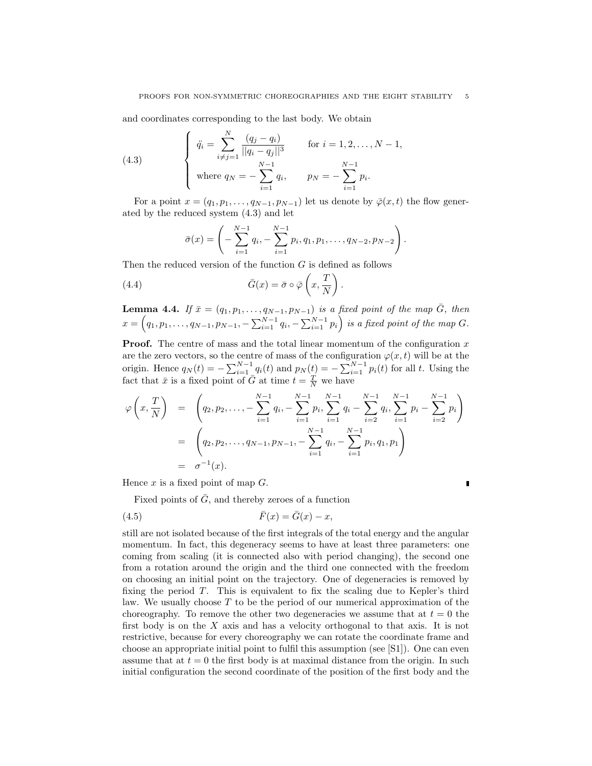and coordinates corresponding to the last body. We obtain

(4.3) 
$$
\begin{cases} \n\ddot{q}_i = \sum_{i \neq j=1}^N \frac{(q_j - q_i)}{||q_i - q_j||^3} & \text{for } i = 1, 2, ..., N - 1, \\ \n\text{where } q_N = -\sum_{i=1}^{N-1} q_i, \quad p_N = -\sum_{i=1}^{N-1} p_i. \n\end{cases}
$$

For a point  $x = (q_1, p_1, \ldots, q_{N-1}, p_{N-1})$  let us denote by  $\overline{\varphi}(x, t)$  the flow generated by the reduced system (4.3) and let

$$
\bar{\sigma}(x) = \left(-\sum_{i=1}^{N-1} q_i, -\sum_{i=1}^{N-1} p_i, q_1, p_1, \dots, q_{N-2}, p_{N-2}\right).
$$

Then the reduced version of the function  $G$  is defined as follows

(4.4) 
$$
\bar{G}(x) = \bar{\sigma} \circ \bar{\varphi}\left(x, \frac{T}{N}\right).
$$

**Lemma 4.4.** If  $\bar{x} = (q_1, p_1, \ldots, q_{N-1}, p_{N-1})$  is a fixed point of the map  $\bar{G}$ , then  $x =$ ıŗ  $q_1, p_1, \ldots, q_{N-1}, p_{N-1}, -\sum_{i=1}^{N-1} q_i, -\sum_{i=1}^{N-1} p_i$  $\zeta^{\prime}$ is a fixed point of the map G.

**Proof.** The centre of mass and the total linear momentum of the configuration  $x$ are the zero vectors, so the centre of mass of the configuration  $\varphi(x, t)$  will be at the origin. Hence  $q_N(t) = -\sum_{i=1}^{N-1} q_i(t)$  and  $p_N(t) = -\sum_{i=1}^{N-1} p_i(t)$  for all t. Using the fact that  $\bar{x}$  is a fixed point of  $\bar{G}$  at time  $t = \frac{T}{N}$  we have

$$
\varphi\left(x, \frac{T}{N}\right) = \left(q_2, p_2, \dots, -\sum_{i=1}^{N-1} q_i, -\sum_{i=1}^{N-1} p_i, \sum_{i=1}^{N-1} q_i - \sum_{i=2}^{N-1} q_i, \sum_{i=1}^{N-1} p_i - \sum_{i=2}^{N-1} p_i\right)
$$

$$
= \left(q_2, p_2, \dots, q_{N-1}, p_{N-1}, -\sum_{i=1}^{N-1} q_i, -\sum_{i=1}^{N-1} p_i, q_1, p_1\right)
$$

$$
= \sigma^{-1}(x).
$$

Hence  $x$  is a fixed point of map  $G$ .

Fixed points of  $\overline{G}$ , and thereby zeroes of a function

$$
\bar{F}(x) = \bar{G}(x) - x,
$$

still are not isolated because of the first integrals of the total energy and the angular momentum. In fact, this degeneracy seems to have at least three parameters: one coming from scaling (it is connected also with period changing), the second one from a rotation around the origin and the third one connected with the freedom on choosing an initial point on the trajectory. One of degeneracies is removed by fixing the period  $T$ . This is equivalent to fix the scaling due to Kepler's third law. We usually choose  $T$  to be the period of our numerical approximation of the choreography. To remove the other two degeneracies we assume that at  $t = 0$  the first body is on the X axis and has a velocity orthogonal to that axis. It is not restrictive, because for every choreography we can rotate the coordinate frame and choose an appropriate initial point to fulfil this assumption (see [S1]). One can even assume that at  $t = 0$  the first body is at maximal distance from the origin. In such initial configuration the second coordinate of the position of the first body and the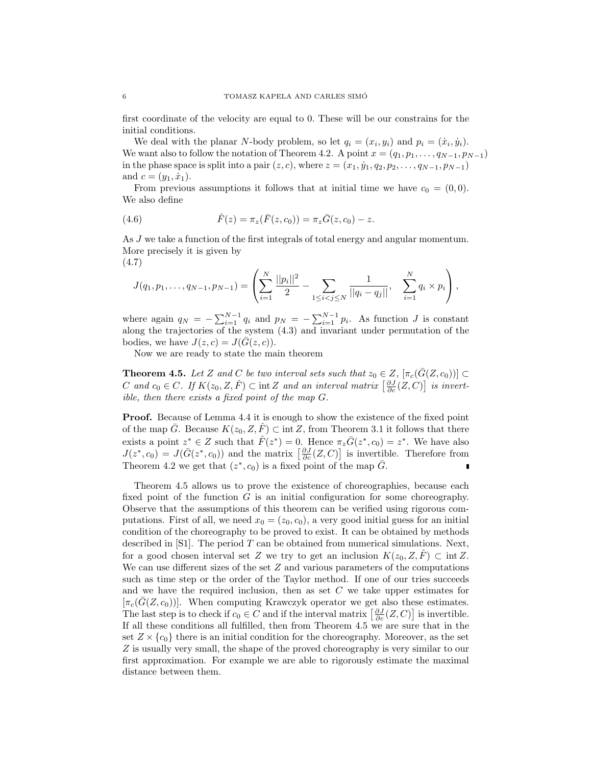first coordinate of the velocity are equal to 0. These will be our constrains for the initial conditions.

We deal with the planar N-body problem, so let  $q_i = (x_i, y_i)$  and  $p_i = (\dot{x}_i, \dot{y}_i)$ . We want also to follow the notation of Theorem 4.2. A point  $x = (q_1, p_1, \ldots, q_{N-1}, p_{N-1})$ in the phase space is split into a pair  $(z, c)$ , where  $z = (x_1, \dot{y}_1, q_2, p_2, \dots, q_{N-1}, p_{N-1})$ and  $c = (y_1, \dot{x}_1)$ .

From previous assumptions it follows that at initial time we have  $c_0 = (0, 0)$ . We also define

(4.6) 
$$
\hat{F}(z) = \pi_z(\bar{F}(z, c_0)) = \pi_z\bar{G}(z, c_0) - z.
$$

As J we take a function of the first integrals of total energy and angular momentum. More precisely it is given by  $(4.7)$ 

$$
4.7)
$$

$$
J(q_1, p_1, \ldots, q_{N-1}, p_{N-1}) = \left( \sum_{i=1}^N \frac{||p_i||^2}{2} - \sum_{1 \leq i < j \leq N} \frac{1}{||q_i - q_j||}, \sum_{i=1}^N q_i \times p_i \right),
$$

where again  $q_N = -\sum_{i=1}^{N-1} q_i$  and  $p_N = -\sum_{i=1}^{N-1} p_i$ . As function J is constant along the trajectories of the system (4.3) and invariant under permutation of the bodies, we have  $J(z, c) = J(\overline{G}(z, c)).$ 

Now we are ready to state the main theorem

**Theorem 4.5.** Let Z and C be two interval sets such that  $z_0 \in Z$ ,  $[\pi_c(\bar{G}(Z, c_0))] \subset$ **C** and  $c_0 \in C$ . If  $K(z_0, Z, \hat{F}) \subset \text{int } Z$  and an interval matrix  $\left[\frac{\partial J}{\partial c}(Z, C)\right]$  is invertible, then there exists a fixed point of the map G.

**Proof.** Because of Lemma 4.4 it is enough to show the existence of the fixed point of the map  $\overline{G}$ . Because  $K(z_0, Z, \overline{F}) \subset \text{int } Z$ , from Theorem 3.1 it follows that there exists a point  $z^* \in Z$  such that  $\hat{F}(z^*) = 0$ . Hence  $\pi_z \bar{G}(z^*, c_0) = z^*$ . We have also exists a point  $z^* \in \mathbb{Z}$  such that  $F(z^*) = 0$ . Hence  $\pi_z G(z^*, c_0) = z^*$ . We have also  $J(z^*, c_0) = J(\bar{G}(z^*, c_0))$  and the matrix  $\left[\frac{\partial J}{\partial c}(Z, C)\right]$  is invertible. Therefore from Theorem 4.2 we get that  $(z^*, c_0)$  is a fixed point of the map  $\overline{G}$ .

Theorem 4.5 allows us to prove the existence of choreographies, because each fixed point of the function G is an initial configuration for some choreography. Observe that the assumptions of this theorem can be verified using rigorous computations. First of all, we need  $x_0 = (z_0, c_0)$ , a very good initial guess for an initial condition of the choreography to be proved to exist. It can be obtained by methods described in  $[S1]$ . The period  $T$  can be obtained from numerical simulations. Next, for a good chosen interval set Z we try to get an inclusion  $K(z_0, Z, \hat{F}) \subset \text{int } Z$ . We can use different sizes of the set  $Z$  and various parameters of the computations such as time step or the order of the Taylor method. If one of our tries succeeds and we have the required inclusion, then as set  $C$  we take upper estimates for  $[\pi_c(\bar{G}(Z, c_0))]$ . When computing Krawczyk operator we get also these estimates.  $[\pi_c(G(Z, C_0))]$ . When computing Krawczyk operator we get also these estimates.<br>The last step is to check if  $c_0 \in C$  and if the interval matrix  $\left[\frac{\partial J}{\partial c}(Z, C)\right]$  is invertible. If all these conditions all fulfilled, then from Theorem 4.5 we are sure that in the set  $Z \times \{c_0\}$  there is an initial condition for the choreography. Moreover, as the set Z is usually very small, the shape of the proved choreography is very similar to our first approximation. For example we are able to rigorously estimate the maximal distance between them.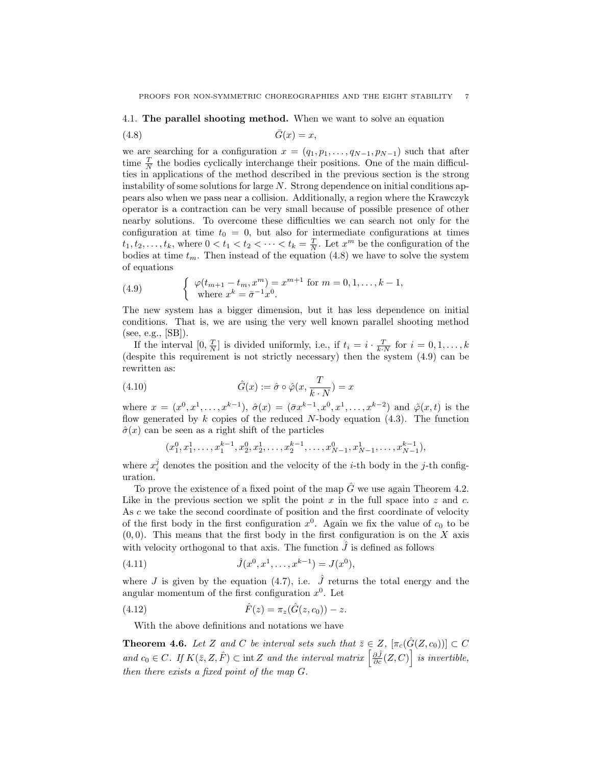# 4.1. The parallel shooting method. When we want to solve an equation

$$
(4.8)\qquad \qquad \bar{G}(x) = x,
$$

we are searching for a configuration  $x = (q_1, p_1, \ldots, q_{N-1}, p_{N-1})$  such that after time  $\frac{T}{N}$  the bodies cyclically interchange their positions. One of the main difficulties in applications of the method described in the previous section is the strong instability of some solutions for large  $N$ . Strong dependence on initial conditions appears also when we pass near a collision. Additionally, a region where the Krawczyk operator is a contraction can be very small because of possible presence of other nearby solutions. To overcome these difficulties we can search not only for the configuration at time  $t_0 = 0$ , but also for intermediate configurations at times  $t_1, t_2, \ldots, t_k$ , where  $0 < t_1 < t_2 < \cdots < t_k = \frac{T}{N}$ . Let  $x^m$  be the configuration of the bodies at time  $t_m$ . Then instead of the equation (4.8) we have to solve the system of equations

(4.9) 
$$
\begin{cases} \varphi(t_{m+1} - t_m, x^m) = x^{m+1} \text{ for } m = 0, 1, ..., k-1, \\ \text{where } x^k = \bar{\sigma}^{-1} x^0. \end{cases}
$$

The new system has a bigger dimension, but it has less dependence on initial conditions. That is, we are using the very well known parallel shooting method (see, e.g., [SB]).

If the interval  $[0, \frac{T}{N}]$  is divided uniformly, i.e., if  $t_i = i \cdot \frac{T}{k \cdot N}$  for  $i = 0, 1, \ldots, k$ (despite this requirement is not strictly necessary) then the system (4.9) can be rewritten as:

(4.10) 
$$
\hat{G}(x) := \hat{\sigma} \circ \hat{\varphi}(x, \frac{T}{k \cdot N}) = x
$$

where  $x = (x^0, x^1, \ldots, x^{k-1}), \; \hat{\sigma}(x) = (\bar{\sigma}x^{k-1}, x^0, x^1, \ldots, x^{k-2})$  and  $\hat{\varphi}(x, t)$  is the flow generated by  $k$  copies of the reduced N-body equation (4.3). The function  $\hat{\sigma}(x)$  can be seen as a right shift of the particles

$$
(x_1^0, x_1^1, \ldots, x_1^{k-1}, x_2^0, x_2^1, \ldots, x_2^{k-1}, \ldots, x_{N-1}^0, x_{N-1}^1, \ldots, x_{N-1}^{k-1}),
$$

where  $x_i^j$  denotes the position and the velocity of the *i*-th body in the *j*-th configuration.

To prove the existence of a fixed point of the map  $\hat{G}$  we use again Theorem 4.2. Like in the previous section we split the point  $x$  in the full space into  $z$  and  $c$ . As c we take the second coordinate of position and the first coordinate of velocity of the first body in the first configuration  $x^0$ . Again we fix the value of  $c_0$  to be  $(0, 0)$ . This means that the first body in the first configuration is on the X axis with velocity orthogonal to that axis. The function  $\hat{J}$  is defined as follows

(4.11) 
$$
\hat{J}(x^0, x^1, \dots, x^{k-1}) = J(x^0),
$$

where J is given by the equation (4.7), i.e.  $\hat{J}$  returns the total energy and the angular momentum of the first configuration  $x^0$ . Let

(4.12) 
$$
\hat{F}(z) = \pi_z(\hat{G}(z, c_0)) - z.
$$

With the above definitions and notations we have

**Theorem 4.6.** Let Z and C be interval sets such that  $\overline{z} \in Z$ ,  $[\pi_c(\hat{G}(Z, c_0))] \subset C$ **Theorem 4.6.** Let Z and C be interval sets such that  $z \in Z$ ,  $[\pi_c(G(Z, c_0))] \subset C$ <br>and  $c_0 \in C$ . If  $K(\bar{z}, Z, \hat{F}) \subset \text{int } Z$  and the interval matrix  $\left[\frac{\partial \hat{J}}{\partial c}(Z, C)\right]$  is invertible, then there exists a fixed point of the map G.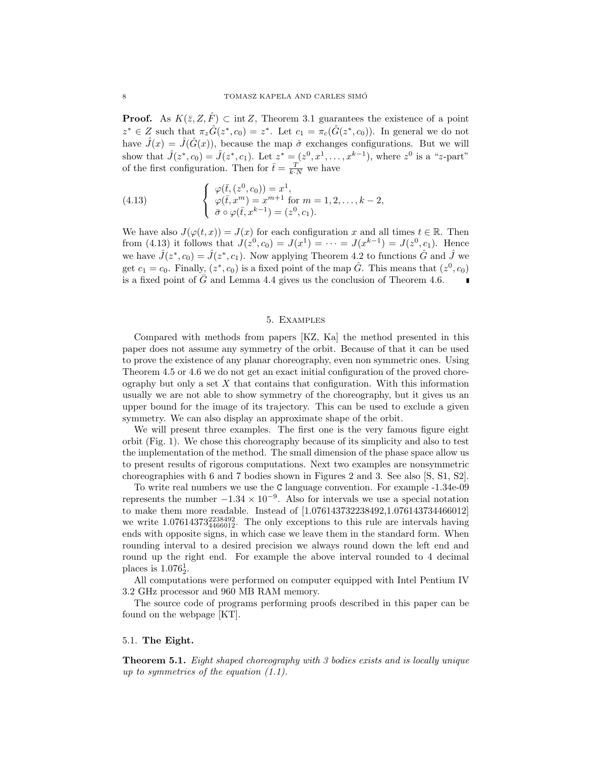**Proof.** As  $K(\bar{z}, Z, \hat{F}) \subset \text{int }Z$ , Theorem 3.1 guarantees the existence of a point  $z^* \in Z$  such that  $\pi_z \hat{G}(z^*, c_0) = z^*$ . Let  $c_1 = \pi_c(\hat{G}(z^*, c_0))$ . In general we do not have  $\hat{J}(x) = \hat{J}(\hat{G}(x))$ , because the map  $\hat{\sigma}$  exchanges configurations. But we will show that  $\hat{J}(z^*, c_0) = \hat{J}(z^*, c_1)$ . Let  $z^* = (z^0, x^1, \dots, x^{k-1})$ , where  $z^0$  is a "z-part" of the first configuration. Then for  $\bar{t} = \frac{T}{k \cdot N}$  we have

(4.13) 
$$
\begin{cases} \varphi(\bar{t}, (z^0, c_0)) = x^1, \\ \varphi(\bar{t}, x^m) = x^{m+1} \text{ for } m = 1, 2, \dots, k-2, \\ \bar{\sigma} \circ \varphi(\bar{t}, x^{k-1}) = (z^0, c_1). \end{cases}
$$

We have also  $J(\varphi(t,x)) = J(x)$  for each configuration x and all times  $t \in \mathbb{R}$ . Then from (4.13) it follows that  $J(z^0, c_0) = J(x^1) = \cdots = J(x^{k-1}) = J(z^0, c_1)$ . Hence we have  $\hat{J}(z^*, c_0) = \hat{J}(z^*, c_1)$ . Now applying Theorem 4.2 to functions  $\hat{G}$  and  $\hat{J}$  we get  $c_1 = c_0$ . Finally,  $(z^*, c_0)$  is a fixed point of the map  $\hat{G}$ . This means that  $(z^0, c_0)$ is a fixed point of  $\bar{G}$  and Lemma 4.4 gives us the conclusion of Theorem 4.6.

# 5. Examples

Compared with methods from papers [KZ, Ka] the method presented in this paper does not assume any symmetry of the orbit. Because of that it can be used to prove the existence of any planar choreography, even non symmetric ones. Using Theorem 4.5 or 4.6 we do not get an exact initial configuration of the proved choreography but only a set  $X$  that contains that configuration. With this information usually we are not able to show symmetry of the choreography, but it gives us an upper bound for the image of its trajectory. This can be used to exclude a given symmetry. We can also display an approximate shape of the orbit.

We will present three examples. The first one is the very famous figure eight orbit (Fig. 1). We chose this choreography because of its simplicity and also to test the implementation of the method. The small dimension of the phase space allow us to present results of rigorous computations. Next two examples are nonsymmetric choreographies with 6 and 7 bodies shown in Figures 2 and 3. See also [S, S1, S2].

To write real numbers we use the C language convention. For example -1.34e-09 represents the number  $-1.34 \times 10^{-9}$ . Also for intervals we use a special notation to make them more readable. Instead of [1.076143732238492,1.076143734466012] we write  $1.07614373_{4466012}^{2238492}$ . The only exceptions to this rule are intervals having ends with opposite signs, in which case we leave them in the standard form. When rounding interval to a desired precision we always round down the left end and round up the right end. For example the above interval rounded to 4 decimal places is  $1.076_2^1$ .

All computations were performed on computer equipped with Intel Pentium IV 3.2 GHz processor and 960 MB RAM memory.

The source code of programs performing proofs described in this paper can be found on the webpage [KT].

#### 5.1. The Eight.

Theorem 5.1. Eight shaped choreography with 3 bodies exists and is locally unique up to symmetries of the equation (1.1).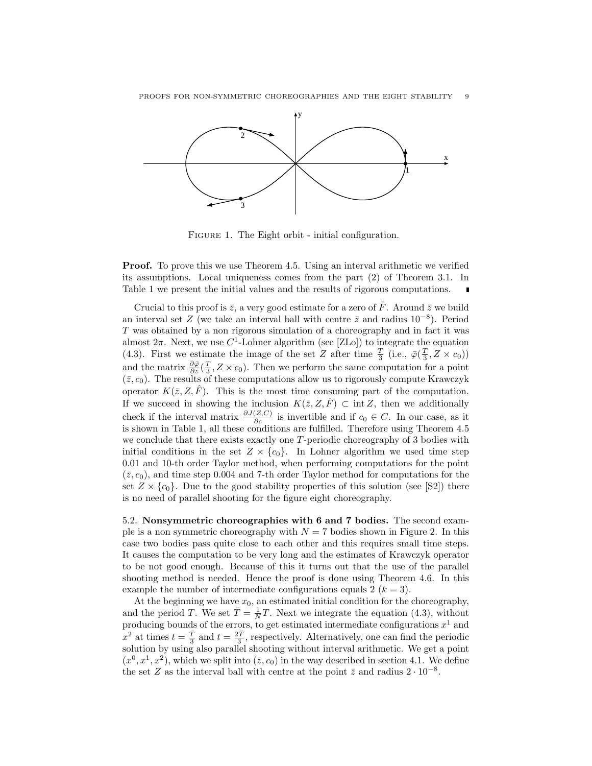

FIGURE 1. The Eight orbit - initial configuration.

Proof. To prove this we use Theorem 4.5. Using an interval arithmetic we verified its assumptions. Local uniqueness comes from the part (2) of Theorem 3.1. In Table 1 we present the initial values and the results of rigorous computations.

Crucial to this proof is  $\bar{z}$ , a very good estimate for a zero of  $\hat{F}$ . Around  $\bar{z}$  we build an interval set Z (we take an interval ball with centre  $\bar{z}$  and radius 10<sup>-8</sup>). Period T was obtained by a non rigorous simulation of a choreography and in fact it was almost  $2\pi$ . Next, we use  $C^1$ -Lohner algorithm (see [ZLo]) to integrate the equation (4.3). First we estimate the image of the set Z after time  $\frac{T}{3}$  (i.e.,  $\bar{\varphi}(\frac{T}{3}, Z \times c_0)$ ) and the matrix  $\frac{\partial \bar{\varphi}}{\partial z}(\frac{T}{3}, Z \times c_0)$ . Then we perform the same computation for a point  $(\bar{z}, c_0)$ . The results of these computations allow us to rigorously compute Krawczyk operator  $K(\overline{z}, Z, \overline{F})$ . This is the most time consuming part of the computation. If we succeed in showing the inclusion  $K(\bar{z}, Z, \hat{F}) \subset \text{int } Z$ , then we additionally check if the interval matrix  $\frac{\partial J(Z,C)}{\partial c}$  is invertible and if  $c_0 \in C$ . In our case, as it is shown in Table 1, all these conditions are fulfilled. Therefore using Theorem 4.5 we conclude that there exists exactly one T-periodic choreography of 3 bodies with initial conditions in the set  $Z \times \{c_0\}$ . In Lohner algorithm we used time step 0.01 and 10-th order Taylor method, when performing computations for the point  $(\bar{z}, c_0)$ , and time step 0.004 and 7-th order Taylor method for computations for the set  $Z \times \{c_0\}$ . Due to the good stability properties of this solution (see [S2]) there is no need of parallel shooting for the figure eight choreography.

5.2. Nonsymmetric choreographies with 6 and 7 bodies. The second example is a non symmetric choreography with  $N = 7$  bodies shown in Figure 2. In this case two bodies pass quite close to each other and this requires small time steps. It causes the computation to be very long and the estimates of Krawczyk operator to be not good enough. Because of this it turns out that the use of the parallel shooting method is needed. Hence the proof is done using Theorem 4.6. In this example the number of intermediate configurations equals 2  $(k = 3)$ .

At the beginning we have  $x_0$ , an estimated initial condition for the choreography, and the period T. We set  $\overline{T} = \frac{1}{N}T$ . Next we integrate the equation (4.3), without producing bounds of the errors, to get estimated intermediate configurations  $x^1$  and  $x^2$  at times  $t = \frac{\bar{T}}{3}$  and  $t = \frac{2\bar{T}}{3}$ , respectively. Alternatively, one can find the periodic solution by using also parallel shooting without interval arithmetic. We get a point  $(x^0, x^1, x^2)$ , which we split into  $(\bar{z}, c_0)$  in the way described in section 4.1. We define the set Z as the interval ball with centre at the point  $\bar{z}$  and radius  $2 \cdot 10^{-8}$ .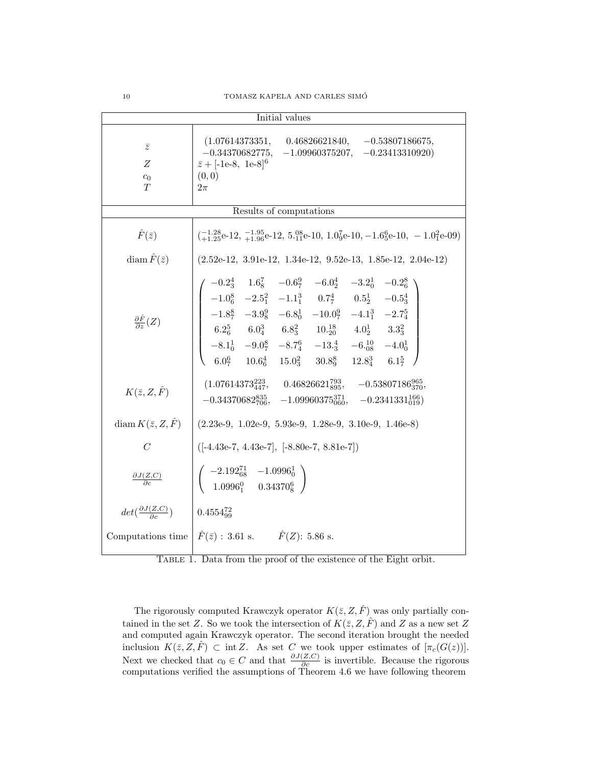| Initial values                                                     |                                                                                                                                                                                                                                                                                                                                                                                                                                                                         |  |
|--------------------------------------------------------------------|-------------------------------------------------------------------------------------------------------------------------------------------------------------------------------------------------------------------------------------------------------------------------------------------------------------------------------------------------------------------------------------------------------------------------------------------------------------------------|--|
| $\bar{z}$<br>Ζ<br>$c_0$<br>T                                       | $(1.07614373351, 0.46826621840, -0.53807186675,$<br>$-0.34370682775, -1.09960375207, -0.23413310920)$<br>$\bar{z} + [-1e-8, 1e-8]^6$<br>(0, 0)<br>$2\pi$                                                                                                                                                                                                                                                                                                                |  |
| Results of computations                                            |                                                                                                                                                                                                                                                                                                                                                                                                                                                                         |  |
| $\hat{F}(\bar{z})$                                                 | $\left(-1.28e^{-12}, \frac{-1.95}{+1.96}e^{-12}, 5.08e^{-10}, 1.09e^{-10}, -1.65e^{-10}, -1.01e^{-09}\right)$                                                                                                                                                                                                                                                                                                                                                           |  |
| diam $\hat{F}(\bar{z})$                                            | $(2.52e-12, 3.91e-12, 1.34e-12, 9.52e-13, 1.85e-12, 2.04e-12)$                                                                                                                                                                                                                                                                                                                                                                                                          |  |
| $\frac{\partial \hat{F}}{\partial z}(Z)$<br>$K(\bar{z},Z,\hat{F})$ | $\left( \begin{array}{cccccc} -0.2_3^4 & 1.6_8^7 & -0.6_7^9 & -6.0_2^4 & -3.2_0^1 & -0.2_6^8 \\ -1.0_6^8 & -2.5_1^2 & -1.1_1^3 & 0.7_7^4 & 0.5_2^1 & -0.5_3^4 \\ -1.8_7^8 & -3.9_8^9 & -6.8_0^1 & -10.0_7^9 & -4.1_1^3 & -2.7_4^5 \\ 6.2_6^5 & 6.0_4^3 & 6.8_3^2 & 10.2_0^1 & 4.0_2^1 &$<br>$(1.07614373_{447}^{223}, \quad \, 0.46826621_{895}^{793}, \quad \, -0.53807186_{370}^{965},$<br>$-0.34370682_{706}^{835}, -1.09960375_{060}^{371}, -0.2341331_{019}^{166}$ |  |
| diam $K(\bar{z}, Z, \hat{F})$                                      | $(2.23e-9, 1.02e-9, 5.93e-9, 1.28e-9, 3.10e-9, 1.46e-8)$                                                                                                                                                                                                                                                                                                                                                                                                                |  |
| $\mathcal{C}$                                                      | $([-4.43e-7, 4.43e-7], [-8.80e-7, 8.81e-7])$                                                                                                                                                                                                                                                                                                                                                                                                                            |  |
| $\frac{\partial J(Z,C)}{\partial c}$                               | $\left( \begin{array}{ccc} -2.192_{68}^{71} & -1.0996_{0}^{1} \ 1.0996_{1}^{0} & 0.34370_{8}^{6} \end{array} \right)$                                                                                                                                                                                                                                                                                                                                                   |  |
| $det(\frac{\partial J(Z,C)}{\partial c})$                          | $0.4554_{99}^{72}$                                                                                                                                                                                                                                                                                                                                                                                                                                                      |  |
|                                                                    | Computations time $\hat{F}(\bar{z})$ : 3.61 s. $\hat{F}(Z)$ : 5.86 s.                                                                                                                                                                                                                                                                                                                                                                                                   |  |

Table 1. Data from the proof of the existence of the Eight orbit.

The rigorously computed Krawczyk operator  $K(\bar{z}, Z, \hat{F})$  was only partially contained in the set Z. So we took the intersection of  $K(\bar{z}, Z, \hat{F})$  and Z as a new set Z and computed again Krawczyk operator. The second iteration brought the needed inclusion  $K(\bar{z}, \bar{Z}, \hat{F}) \subset \text{int } \bar{Z}$ . As set C we took upper estimates of  $[\pi_c(G(z))]$ . Next we checked that  $c_0 \in C$  and that  $\frac{\partial J(Z,C)}{\partial c}$  is invertible. Because the rigorous computations verified the assumptions of Theorem 4.6 we have following theorem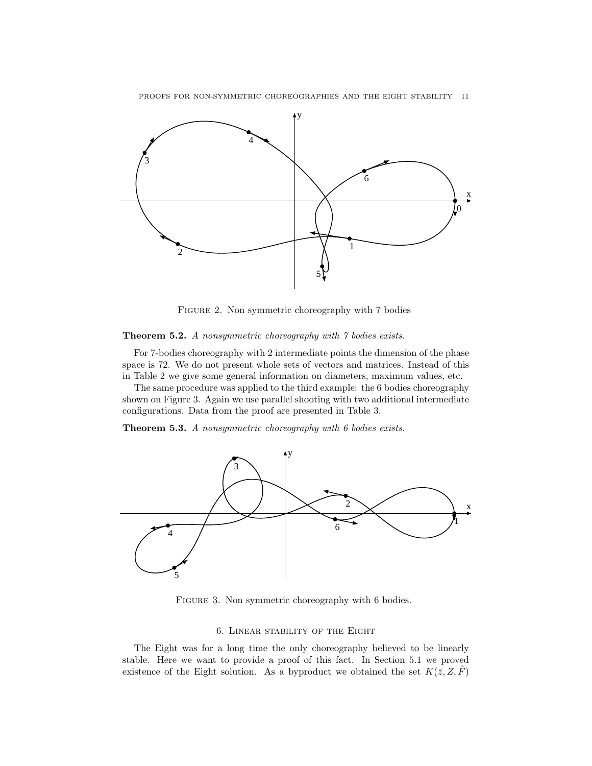PROOFS FOR NON-SYMMETRIC CHOREOGRAPHIES AND THE EIGHT STABILITY 11



Figure 2. Non symmetric choreography with 7 bodies

# Theorem 5.2. A nonsymmetric choreography with 7 bodies exists.

For 7-bodies choreography with 2 intermediate points the dimension of the phase space is 72. We do not present whole sets of vectors and matrices. Instead of this in Table 2 we give some general information on diameters, maximum values, etc.

The same procedure was applied to the third example: the 6 bodies choreography shown on Figure 3. Again we use parallel shooting with two additional intermediate configurations. Data from the proof are presented in Table 3.

Theorem 5.3. A nonsymmetric choreography with 6 bodies exists.



FIGURE 3. Non symmetric choreography with 6 bodies.

## 6. Linear stability of the Eight

The Eight was for a long time the only choreography believed to be linearly stable. Here we want to provide a proof of this fact. In Section 5.1 we proved existence of the Eight solution. As a byproduct we obtained the set  $K(\bar{z}, Z, \bar{F})$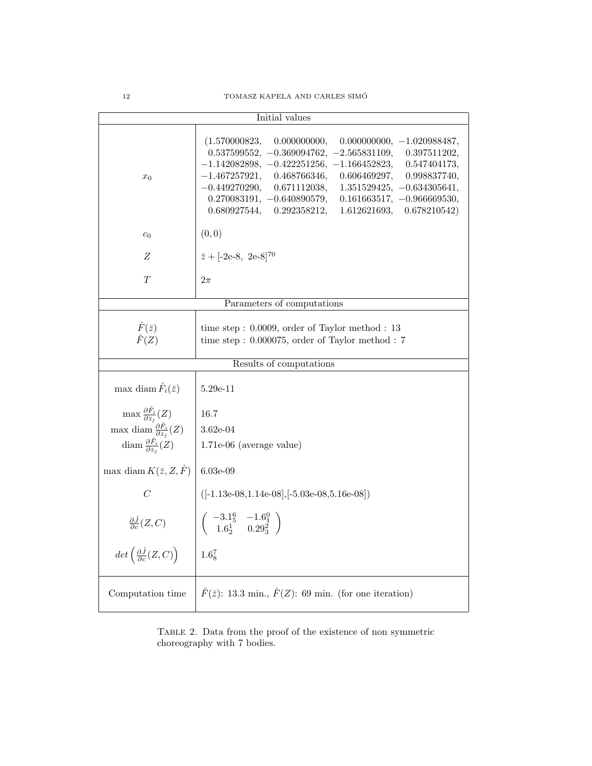|                                                            | Initial values                                                                                                                                                                                                                                                                                                                                                                                                                                                   |  |
|------------------------------------------------------------|------------------------------------------------------------------------------------------------------------------------------------------------------------------------------------------------------------------------------------------------------------------------------------------------------------------------------------------------------------------------------------------------------------------------------------------------------------------|--|
| $x_0$                                                      | (1.570000823,<br>0.000000000,<br>$0.000000000, -1.020988487,$<br>$0.537599552, -0.369094762, -2.565831109,$<br>0.397511202,<br>$-1.142082898, -0.422251256, -1.166452823,$<br>0.547404173,<br>$-1.467257921,$<br>0.468766346,<br>0.606469297,<br>0.998837740,<br>$-0.449270290,$<br>0.671112038,<br>$1.351529425, -0.634305641,$<br>$0.270083191, -0.640890579,$<br>$0.161663517, -0.966669530,$<br>0.680927544,<br>0.292358212,<br>1.612621693,<br>0.678210542) |  |
| $c_0$                                                      | (0, 0)                                                                                                                                                                                                                                                                                                                                                                                                                                                           |  |
| Ζ                                                          | $\bar{z} + [-2e-8, 2e-8]^{70}$                                                                                                                                                                                                                                                                                                                                                                                                                                   |  |
| $\scriptstyle T$                                           | $2\pi$                                                                                                                                                                                                                                                                                                                                                                                                                                                           |  |
| Parameters of computations                                 |                                                                                                                                                                                                                                                                                                                                                                                                                                                                  |  |
| $\hat{F}(\bar{z})$<br>$\hat{F}(Z)$                         | time step: $0.0009$ , order of Taylor method : 13<br>time step: $0.000075$ , order of Taylor method : 7                                                                                                                                                                                                                                                                                                                                                          |  |
| Results of computations                                    |                                                                                                                                                                                                                                                                                                                                                                                                                                                                  |  |
| max diam $\hat{F}_i(\bar{z})$                              | 5.29e-11                                                                                                                                                                                                                                                                                                                                                                                                                                                         |  |
| $\max \frac{\partial \hat{F}_i}{\partial z_i}(Z)$          | 16.7                                                                                                                                                                                                                                                                                                                                                                                                                                                             |  |
| max diam $\frac{\partial F_i}{\partial z_i}(Z)$            | $3.62e-04$                                                                                                                                                                                                                                                                                                                                                                                                                                                       |  |
| diam $\frac{\partial \hat{F}_i}{\partial z_i}(Z)$          | $1.71e-06$ (average value)                                                                                                                                                                                                                                                                                                                                                                                                                                       |  |
| max diam $K(\bar{z}, Z, \hat{F})$                          | $6.03e-09$                                                                                                                                                                                                                                                                                                                                                                                                                                                       |  |
| $\mathcal C$                                               | $([-1.13e-08, 1.14e-08], [-5.03e-08, 5.16e-08])$                                                                                                                                                                                                                                                                                                                                                                                                                 |  |
| $\frac{\partial \hat{J}}{\partial c}(Z,C)$                 | $\begin{pmatrix} -3.1\frac{6}{5} & -1.6\frac{0}{1} \\ 1.6\frac{1}{2} & 0.29\frac{2}{3} \end{pmatrix}$                                                                                                                                                                                                                                                                                                                                                            |  |
| $det\left(\frac{\partial \hat{J}}{\partial c}(Z,C)\right)$ | $1.6^{7}_{8}$                                                                                                                                                                                                                                                                                                                                                                                                                                                    |  |
| Computation time                                           | $\hat{F}(\bar{z})$ : 13.3 min., $\hat{F}(Z)$ : 69 min. (for one iteration)                                                                                                                                                                                                                                                                                                                                                                                       |  |

TABLE 2. Data from the proof of the existence of non symmetric choreography with 7 bodies.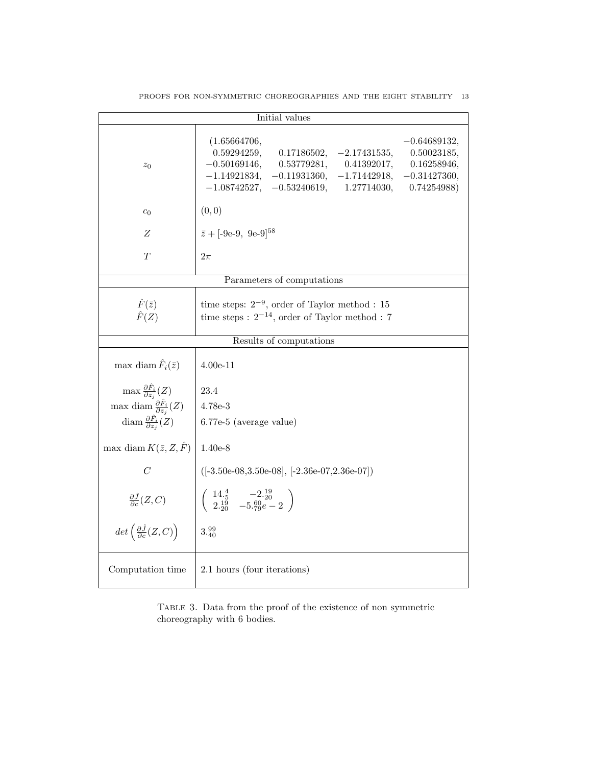| Initial values                                                                                            |                                                                                                                                                                                                                                                                                                  |  |
|-----------------------------------------------------------------------------------------------------------|--------------------------------------------------------------------------------------------------------------------------------------------------------------------------------------------------------------------------------------------------------------------------------------------------|--|
| $z_0$                                                                                                     | (1.65664706,<br>$-0.64689132,$<br>0.59294259,<br>0.17186502,<br>$-2.17431535,$<br>0.50023185,<br>$-0.50169146,$<br>0.53779281,<br>0.41392017,<br>0.16258946,<br>$-1.14921834,$<br>$-0.11931360,$<br>$-1.71442918,$<br>$-0.31427360,$<br>$-1.08742527, -0.53240619,$<br>1.27714030,<br>0.74254988 |  |
| c <sub>0</sub>                                                                                            | (0, 0)                                                                                                                                                                                                                                                                                           |  |
| Z                                                                                                         | $\bar{z} + [-9e-9, 9e-9]^{58}$                                                                                                                                                                                                                                                                   |  |
| T                                                                                                         | $2\pi$                                                                                                                                                                                                                                                                                           |  |
| Parameters of computations                                                                                |                                                                                                                                                                                                                                                                                                  |  |
| $\hat{F}(\bar{z})$<br>$\hat{F}(Z)$                                                                        | time steps: $2^{-9}$ , order of Taylor method : 15<br>time steps : $2^{-14}$ , order of Taylor method : 7                                                                                                                                                                                        |  |
| Results of computations                                                                                   |                                                                                                                                                                                                                                                                                                  |  |
| max diam $\hat{F}_i(\bar{z})$                                                                             | $4.00e-11$                                                                                                                                                                                                                                                                                       |  |
| $\max \frac{\partial \hat{F}_i}{\partial z_i}(Z)$                                                         | 23.4                                                                                                                                                                                                                                                                                             |  |
| max diam $\frac{\partial \hat{F}_i}{\partial z_i}(Z)$                                                     | $ 4.78e-3$                                                                                                                                                                                                                                                                                       |  |
| diam $\frac{\partial \hat{F}_i}{\partial z_i}(Z)$                                                         | 6.77e-5 (average value)                                                                                                                                                                                                                                                                          |  |
| max diam $K(\bar{z}, Z, \hat{F})$                                                                         | $1.40e-8$                                                                                                                                                                                                                                                                                        |  |
| $\mathcal{C}$                                                                                             | $([-3.50e-08, 3.50e-08], [-2.36e-07, 2.36e-07])$                                                                                                                                                                                                                                                 |  |
| $\frac{\partial \hat{J}}{\partial c}(Z,C)$<br>det $\left(\frac{\partial \hat{J}}{\partial c}(Z,C)\right)$ | $\left(\begin{array}{cc} 14.\frac{4}{5} & -2.\frac{19}{20} \\ 2.\frac{19}{20} & -5.\frac{60}{79}e-2 \end{array}\right)$                                                                                                                                                                          |  |
|                                                                                                           | 3.399                                                                                                                                                                                                                                                                                            |  |
| Computation time                                                                                          | 2.1 hours (four iterations)                                                                                                                                                                                                                                                                      |  |

PROOFS FOR NON-SYMMETRIC CHOREOGRAPHIES AND THE EIGHT STABILITY 13

TABLE 3. Data from the proof of the existence of non symmetric choreography with 6 bodies.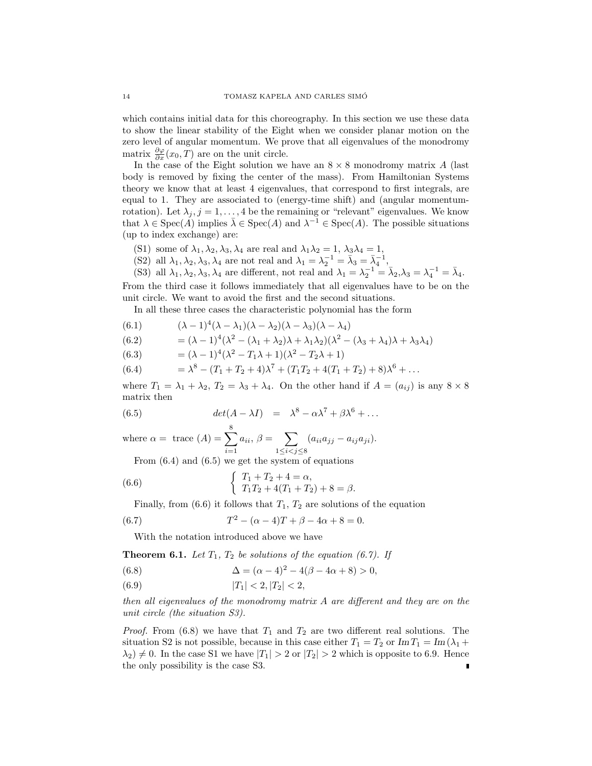which contains initial data for this choreography. In this section we use these data to show the linear stability of the Eight when we consider planar motion on the zero level of angular momentum. We prove that all eigenvalues of the monodromy matrix  $\frac{\partial \varphi}{\partial x}(x_0, T)$  are on the unit circle.

In the case of the Eight solution we have an  $8 \times 8$  monodromy matrix A (last body is removed by fixing the center of the mass). From Hamiltonian Systems theory we know that at least 4 eigenvalues, that correspond to first integrals, are equal to 1. They are associated to (energy-time shift) and (angular momentumrotation). Let  $\lambda_j$ ,  $j = 1, ..., 4$  be the remaining or "relevant" eigenvalues. We know that  $\lambda \in \text{Spec}(A)$  implies  $\overline{\lambda} \in \text{Spec}(A)$  and  $\lambda^{-1} \in \text{Spec}(A)$ . The possible situations (up to index exchange) are:

- (S1) some of  $\lambda_1, \lambda_2, \lambda_3, \lambda_4$  are real and  $\lambda_1 \lambda_2 = 1$ ,  $\lambda_3 \lambda_4 = 1$ ,
- (S2) all  $\lambda_1, \lambda_2, \lambda_3, \lambda_4$  are not real and  $\lambda_1 = \lambda_2^{-1} = \bar{\lambda}_3 = \bar{\lambda}_4^{-1}$ ,

(S3) all  $\lambda_1, \lambda_2, \lambda_3, \lambda_4$  are different, not real and  $\lambda_1 = \lambda_2^{-1} = \bar{\lambda}_2, \lambda_3 = \lambda_4^{-1} = \bar{\lambda}_4$ . From the third case it follows immediately that all eigenvalues have to be on the unit circle. We want to avoid the first and the second situations.

In all these three cases the characteristic polynomial has the form

(6.1) 
$$
(\lambda - 1)^4 (\lambda - \lambda_1)(\lambda - \lambda_2)(\lambda - \lambda_3)(\lambda - \lambda_4)
$$

(6.2) 
$$
= (\lambda - 1)^4 (\lambda^2 - (\lambda_1 + \lambda_2)\lambda + \lambda_1 \lambda_2)(\lambda^2 - (\lambda_3 + \lambda_4)\lambda + \lambda_3 \lambda_4)
$$

(6.3)  $= (\lambda - 1)^4 (\lambda^2 - T_1 \lambda + 1) (\lambda^2 - T_2 \lambda + 1)$ 

(6.4) 
$$
= \lambda^8 - (T_1 + T_2 + 4)\lambda^7 + (T_1T_2 + 4(T_1 + T_2) + 8)\lambda^6 + \dots
$$

where  $T_1 = \lambda_1 + \lambda_2$ ,  $T_2 = \lambda_3 + \lambda_4$ . On the other hand if  $A = (a_{ij})$  is any  $8 \times 8$ matrix then

(6.5) 
$$
det(A - \lambda I) = \lambda^8 - \alpha \lambda^7 + \beta \lambda^6 + \dots
$$

where  $\alpha = \text{trace}(A) = \sum_{n=1}^8$  $i=1$  $a_{ii}, \beta =$  $\overline{a}$  $1 \le i < j \le 8$  $(a_{ii}a_{jj} - a_{ij}a_{ji}).$ 

From (6.4) and (6.5) we get the system of equations

(6.6) 
$$
\begin{cases} T_1 + T_2 + 4 = \alpha, \\ T_1 T_2 + 4(T_1 + T_2) + 8 = \beta. \end{cases}
$$

Finally, from  $(6.6)$  it follows that  $T_1, T_2$  are solutions of the equation

(6.7) 
$$
T^2 - (\alpha - 4)T + \beta - 4\alpha + 8 = 0.
$$

With the notation introduced above we have

**Theorem 6.1.** Let  $T_1$ ,  $T_2$  be solutions of the equation (6.7). If

(6.8) 
$$
\Delta = (\alpha - 4)^2 - 4(\beta - 4\alpha + 8) > 0,
$$

$$
(6.9) \t\t |T_1| < 2, |T_2| < 2,
$$

then all eigenvalues of the monodromy matrix A are different and they are on the unit circle (the situation S3).

*Proof.* From (6.8) we have that  $T_1$  and  $T_2$  are two different real solutions. The situation S2 is not possible, because in this case either  $T_1 = T_2$  or  $\text{Im} T_1 = \text{Im} (\lambda_1 +$  $(\lambda_2) \neq 0$ . In the case S1 we have  $|T_1| > 2$  or  $|T_2| > 2$  which is opposite to 6.9. Hence the only possibility is the case S3.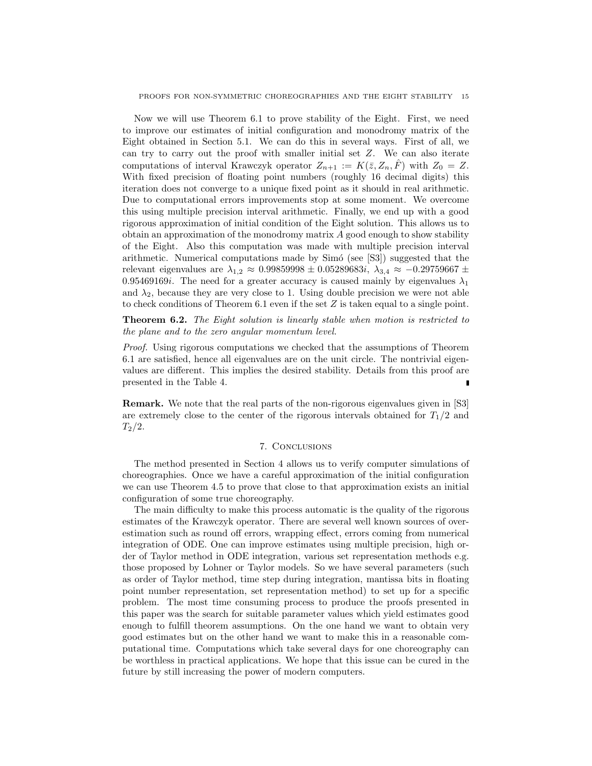Now we will use Theorem 6.1 to prove stability of the Eight. First, we need to improve our estimates of initial configuration and monodromy matrix of the Eight obtained in Section 5.1. We can do this in several ways. First of all, we can try to carry out the proof with smaller initial set Z. We can also iterate computations of interval Krawczyk operator  $Z_{n+1} := K(\bar{z}, Z_n, \bar{F})$  with  $Z_0 = Z$ . With fixed precision of floating point numbers (roughly 16 decimal digits) this iteration does not converge to a unique fixed point as it should in real arithmetic. Due to computational errors improvements stop at some moment. We overcome this using multiple precision interval arithmetic. Finally, we end up with a good rigorous approximation of initial condition of the Eight solution. This allows us to obtain an approximation of the monodromy matrix A good enough to show stability of the Eight. Also this computation was made with multiple precision interval arithmetic. Numerical computations made by Simó (see [S3]) suggested that the relevant eigenvalues are  $\lambda_{1,2} \approx 0.99859998 \pm 0.05289683i$ ,  $\lambda_{3,4} \approx -0.29759667 \pm 0.0528968i$ 0.95469169*i*. The need for a greater accuracy is caused mainly by eigenvalues  $\lambda_1$ and  $\lambda_2$ , because they are very close to 1. Using double precision we were not able to check conditions of Theorem 6.1 even if the set Z is taken equal to a single point.

Theorem 6.2. The Eight solution is linearly stable when motion is restricted to the plane and to the zero angular momentum level.

Proof. Using rigorous computations we checked that the assumptions of Theorem 6.1 are satisfied, hence all eigenvalues are on the unit circle. The nontrivial eigenvalues are different. This implies the desired stability. Details from this proof are presented in the Table 4.

Remark. We note that the real parts of the non-rigorous eigenvalues given in [S3] are extremely close to the center of the rigorous intervals obtained for  $T_1/2$  and  $T_2/2$ .

# 7. Conclusions

The method presented in Section 4 allows us to verify computer simulations of choreographies. Once we have a careful approximation of the initial configuration we can use Theorem 4.5 to prove that close to that approximation exists an initial configuration of some true choreography.

The main difficulty to make this process automatic is the quality of the rigorous estimates of the Krawczyk operator. There are several well known sources of overestimation such as round off errors, wrapping effect, errors coming from numerical integration of ODE. One can improve estimates using multiple precision, high order of Taylor method in ODE integration, various set representation methods e.g. those proposed by Lohner or Taylor models. So we have several parameters (such as order of Taylor method, time step during integration, mantissa bits in floating point number representation, set representation method) to set up for a specific problem. The most time consuming process to produce the proofs presented in this paper was the search for suitable parameter values which yield estimates good enough to fulfill theorem assumptions. On the one hand we want to obtain very good estimates but on the other hand we want to make this in a reasonable computational time. Computations which take several days for one choreography can be worthless in practical applications. We hope that this issue can be cured in the future by still increasing the power of modern computers.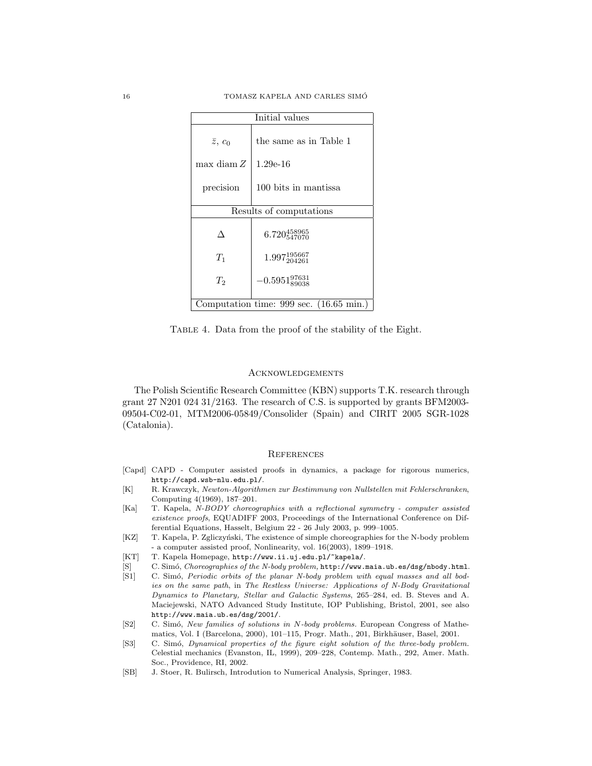| $\overline{\text{Initial}}$ values      |                           |  |
|-----------------------------------------|---------------------------|--|
| $\bar{z}, c_0$                          | the same as in Table 1    |  |
| max diam $Z$                            | $1.29e-16$                |  |
|                                         |                           |  |
| precision                               | 100 bits in mantissa      |  |
| Results of computations                 |                           |  |
|                                         | $6.720_{547070}^{458965}$ |  |
| $T_1$                                   | $1.997_{204261}^{195667}$ |  |
| $T_2$                                   | $-0.5951_{89038}^{97631}$ |  |
| Computation time: 999 sec. (16.65 min.) |                           |  |

Table 4. Data from the proof of the stability of the Eight.

## **ACKNOWLEDGEMENTS**

The Polish Scientific Research Committee (KBN) supports T.K. research through grant 27 N201 024 31/2163. The research of C.S. is supported by grants BFM2003- 09504-C02-01, MTM2006-05849/Consolider (Spain) and CIRIT 2005 SGR-1028 (Catalonia).

#### **REFERENCES**

- [Capd] CAPD Computer assisted proofs in dynamics, a package for rigorous numerics, http://capd.wsb-nlu.edu.pl/.
- [K] R. Krawczyk, Newton-Algorithmen zur Bestimmung von Nullstellen mit Fehlerschranken, Computing 4(1969), 187–201.
- [Ka] T. Kapela, N-BODY choreographies with a reflectional symmetry computer assisted existence proofs, EQUADIFF 2003, Proceedings of the International Conference on Differential Equations, Hasselt, Belgium 22 - 26 July 2003, p. 999–1005.
- [KZ] T. Kapela, P. Zgliczyński, The existence of simple choreographies for the N-body problem - a computer assisted proof, Nonlinearity, vol. 16(2003), 1899–1918.
- [KT] T. Kapela Homepage, http://www.ii.uj.edu.pl/~kapela/.
- [S] C. Simó, Choreographies of the N-body problem, http://www.maia.ub.es/dsg/nbody.html.
- [S1] C. Simó, Periodic orbits of the planar N-body problem with equal masses and all bodies on the same path, in The Restless Universe: Applications of N-Body Gravitational Dynamics to Planetary, Stellar and Galactic Systems, 265–284, ed. B. Steves and A. Maciejewski, NATO Advanced Study Institute, IOP Publishing, Bristol, 2001, see also http://www.maia.ub.es/dsg/2001/.
- [S2] C. Sim´o, New families of solutions in N-body problems. European Congress of Mathematics, Vol. I (Barcelona, 2000), 101–115, Progr. Math., 201, Birkhäuser, Basel, 2001.
- [S3] C. Simó, Dynamical properties of the figure eight solution of the three-body problem. Celestial mechanics (Evanston, IL, 1999), 209–228, Contemp. Math., 292, Amer. Math. Soc., Providence, RI, 2002.
- [SB] J. Stoer, R. Bulirsch, Introdution to Numerical Analysis, Springer, 1983.